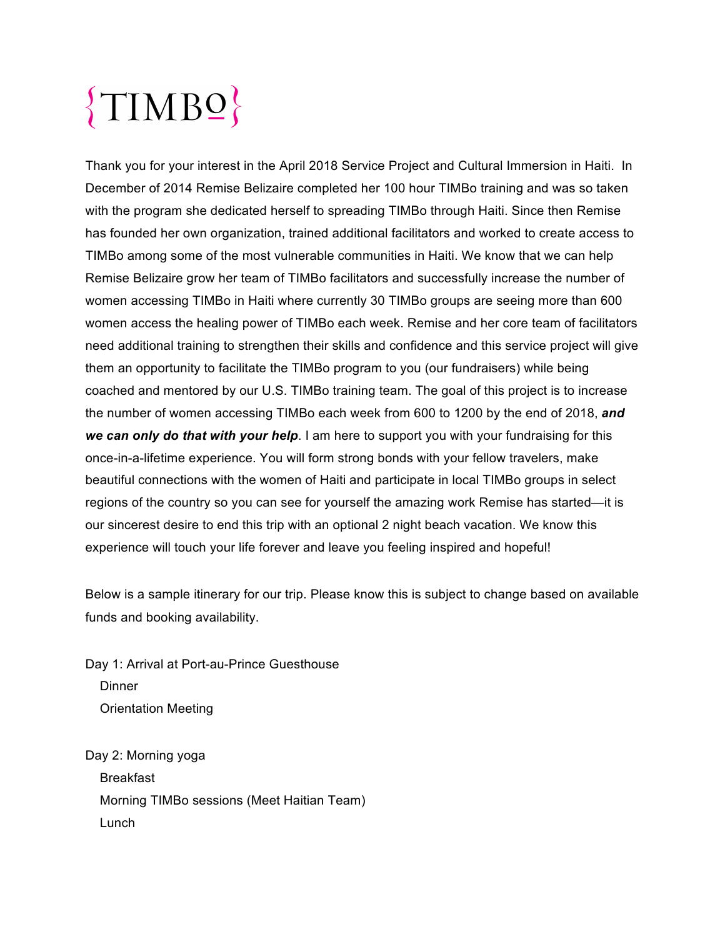# $\{TIMB2}$

Thank you for your interest in the April 2018 Service Project and Cultural Immersion in Haiti. In December of 2014 Remise Belizaire completed her 100 hour TIMBo training and was so taken with the program she dedicated herself to spreading TIMBo through Haiti. Since then Remise has founded her own organization, trained additional facilitators and worked to create access to TIMBo among some of the most vulnerable communities in Haiti. We know that we can help Remise Belizaire grow her team of TIMBo facilitators and successfully increase the number of women accessing TIMBo in Haiti where currently 30 TIMBo groups are seeing more than 600 women access the healing power of TIMBo each week. Remise and her core team of facilitators need additional training to strengthen their skills and confidence and this service project will give them an opportunity to facilitate the TIMBo program to you (our fundraisers) while being coached and mentored by our U.S. TIMBo training team. The goal of this project is to increase the number of women accessing TIMBo each week from 600 to 1200 by the end of 2018, *and we can only do that with your help*. I am here to support you with your fundraising for this once-in-a-lifetime experience. You will form strong bonds with your fellow travelers, make beautiful connections with the women of Haiti and participate in local TIMBo groups in select regions of the country so you can see for yourself the amazing work Remise has started—it is our sincerest desire to end this trip with an optional 2 night beach vacation. We know this experience will touch your life forever and leave you feeling inspired and hopeful!

Below is a sample itinerary for our trip. Please know this is subject to change based on available funds and booking availability.

Day 1: Arrival at Port-au-Prince Guesthouse **Dinner** Orientation Meeting

Day 2: Morning yoga Breakfast Morning TIMBo sessions (Meet Haitian Team) Lunch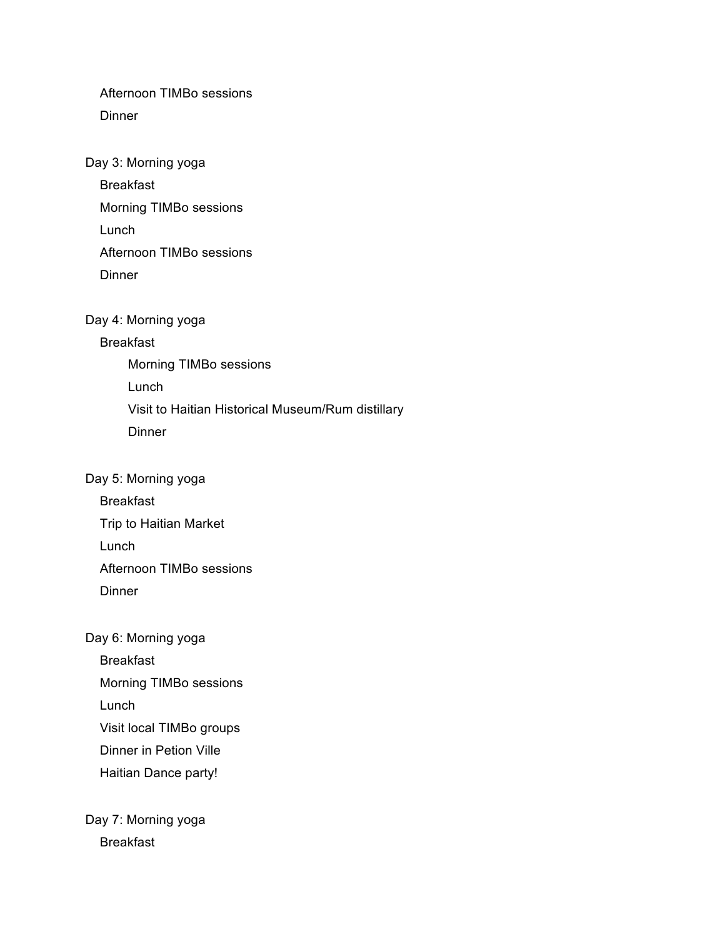Afternoon TIMBo sessions Dinner

Day 3: Morning yoga

Breakfast

Morning TIMBo sessions

Lunch

Afternoon TIMBo sessions

**Dinner** 

Day 4: Morning yoga

### Breakfast

Morning TIMBo sessions Lunch Visit to Haitian Historical Museum/Rum distillary **Dinner** 

#### Day 5: Morning yoga

Breakfast

Trip to Haitian Market

Lunch

Afternoon TIMBo sessions

Dinner

## Day 6: Morning yoga

Breakfast

Morning TIMBo sessions

Lunch

Visit local TIMBo groups

Dinner in Petion Ville

Haitian Dance party!

Day 7: Morning yoga Breakfast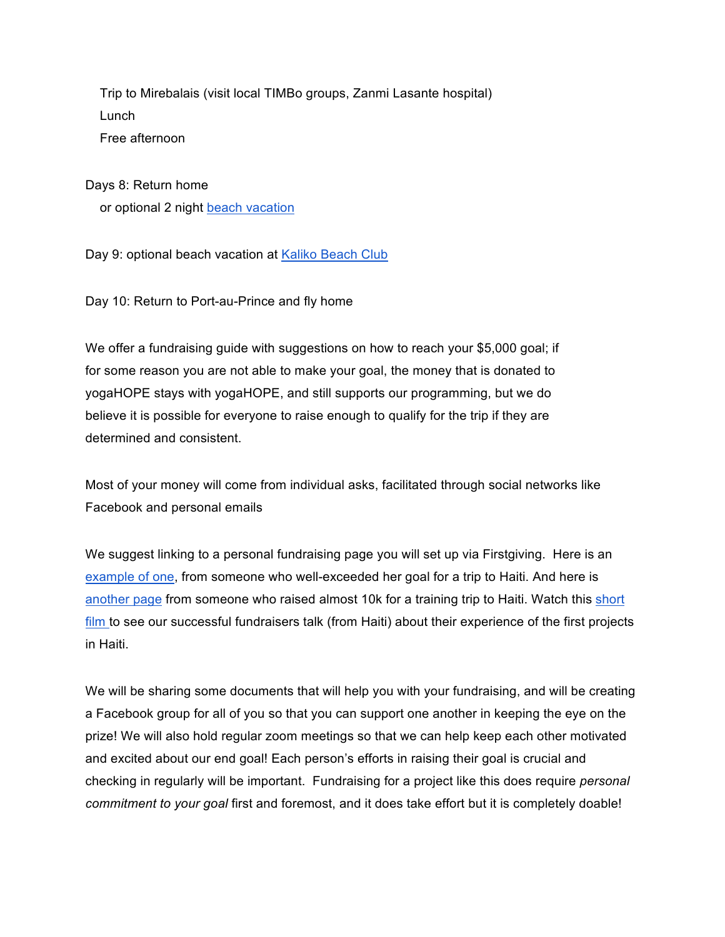Trip to Mirebalais (visit local TIMBo groups, Zanmi Lasante hospital) Lunch Free afternoon

Days 8: Return home or optional 2 night beach vacation

Day 9: optional beach vacation at Kaliko Beach Club

Day 10: Return to Port-au-Prince and fly home

We offer a fundraising guide with suggestions on how to reach your \$5,000 goal; if for some reason you are not able to make your goal, the money that is donated to yogaHOPE stays with yogaHOPE, and still supports our programming, but we do believe it is possible for everyone to raise enough to qualify for the trip if they are determined and consistent.

Most of your money will come from individual asks, facilitated through social networks like Facebook and personal emails

We suggest linking to a personal fundraising page you will set up via Firstgiving. Here is an example of one, from someone who well-exceeded her goal for a trip to Haiti. And here is another page from someone who raised almost 10k for a training trip to Haiti. Watch this short film to see our successful fundraisers talk (from Haiti) about their experience of the first projects in Haiti.

We will be sharing some documents that will help you with your fundraising, and will be creating a Facebook group for all of you so that you can support one another in keeping the eye on the prize! We will also hold regular zoom meetings so that we can help keep each other motivated and excited about our end goal! Each person's efforts in raising their goal is crucial and checking in regularly will be important. Fundraising for a project like this does require *personal commitment to your goal* first and foremost, and it does take effort but it is completely doable!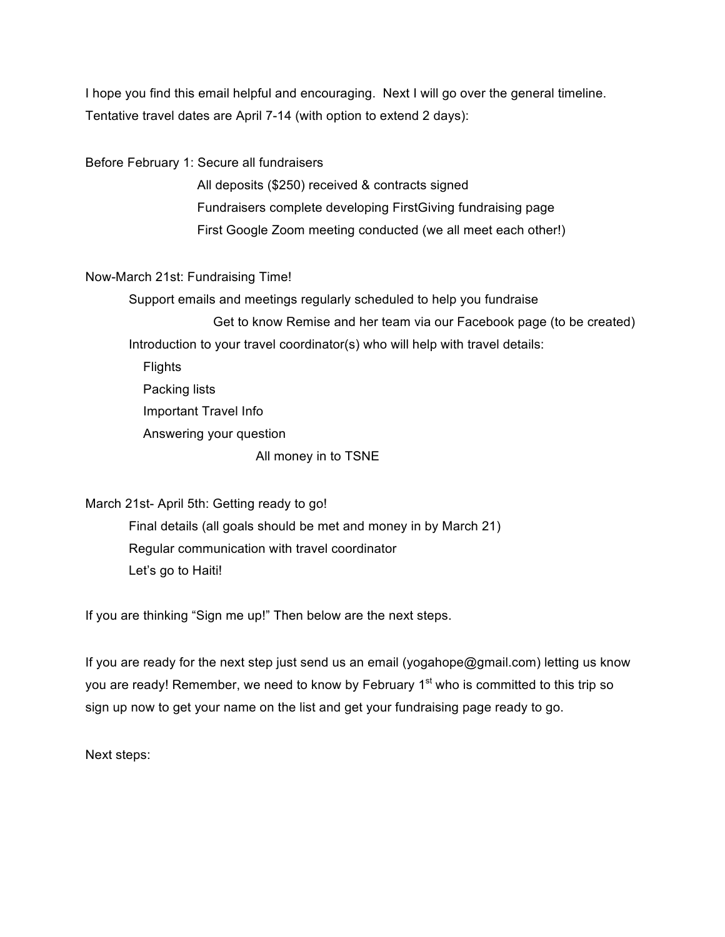I hope you find this email helpful and encouraging. Next I will go over the general timeline. Tentative travel dates are April 7-14 (with option to extend 2 days):

Before February 1: Secure all fundraisers

All deposits (\$250) received & contracts signed Fundraisers complete developing FirstGiving fundraising page First Google Zoom meeting conducted (we all meet each other!)

#### Now-March 21st: Fundraising Time!

 Support emails and meetings regularly scheduled to help you fundraise Get to know Remise and her team via our Facebook page (to be created) Introduction to your travel coordinator(s) who will help with travel details: **Flights**  Packing lists Important Travel Info Answering your question All money in to TSNE

March 21st- April 5th: Getting ready to go! Final details (all goals should be met and money in by March 21) Regular communication with travel coordinator Let's go to Haiti!

If you are thinking "Sign me up!" Then below are the next steps.

If you are ready for the next step just send us an email (yogahope@gmail.com) letting us know you are ready! Remember, we need to know by February 1<sup>st</sup> who is committed to this trip so sign up now to get your name on the list and get your fundraising page ready to go.

Next steps: